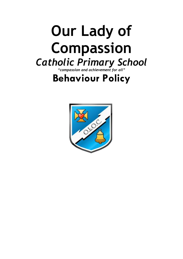# **Our Lady of Compassion** *Catholic Primary School*

*"compassion and achievement for all"*

# **Behaviour Policy**

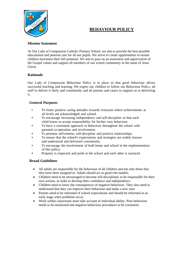# **BEHAVIOUR POLICY**



#### **Mission Statement**

At Our Lady of Compassion Catholic Primary School, we aim to provide the best possible educational and pastoral care for all our pupils. We strive to create opportunities to ensure children maximize their full potential. We aim to pass on an awareness and appreciation of the Gospel values and support all members of our school community in the name of Jesus Christ.

#### **Rationale**

Our Lady of Compassion Behaviour Policy is in place so that good behaviour allows successful teaching and learning. We expect our children to follow our Behaviour Policy, all staff to deliver it fairly and consistently and all parents and carers to support us in delivering it.

#### **General Purposes**

- To foster positive caring attitudes towards everyone where achievements at all levels are acknowledged and valued.
- To encourage increasing independence and self-discipline so that each child learns to accept responsibility for his/her own behaviour.
- To have a consistent approach to behaviour throughout the school with parental co-operation and involvement.
- To promote self-esteem, self-discipline and positive relationships.
- To ensure that the school's expectations and strategies are widely known and understood and delivered consistently.
- To encourage the involvement of both home and school in the implementation of this policy.
- Property is respected and pride in the school and each other is nurtured.

#### **Broad Guidelines**

- All adults are responsible for the behaviour of all children and not only those that they have been assigned to. Adults should act as good role models.
- Children need to be encouraged to become self-disciplined, to be responsible for their own actions, in order to develop their confidence and independence.
- Children need to know the consequences of negative behaviour. They also need to understand that they can improve their behaviour and make a new start.
- Parents need to be informed of school expectations and should be informed at an early stage when problems occur.
- Work within classrooms must take account of individual ability. Poor behaviour needs to be monitored and negative behaviour procedures to be consistent.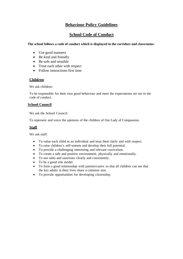### **Behaviour Policy Guidelines**

## **School Code of Conduct**

#### **The school follows a code of conduct which is displayed in the corridors and classrooms:**

- Use good manners
- Be kind and friendly
- Be safe and sensible
- Treat each other with respect
- Follow instructions first time

#### **Children**

We ask children:

To be responsible for their own good behaviour and meet the expectations set out in the code of conduct.

#### **School Council**

We ask the School Council:

To represent and voice the opinions of the children of Our Lady of Compassion.

#### **Staff**

We ask staff<sup>.</sup>

- To value each child as an individual and treat them fairly and with respect.
- To raise children's self-esteem and develop their full potential.
- To provide a challenging interesting and relevant curriculum.
- To create a safe and positive environment, physically and emotionally.
- To use rules and sanctions clearly and consistently.
- To be a good role model.
- To form a good relationship with parents/carers so that all children can see that the key adults in their lives share a common aim.
- To provide opportunities for developing citizenship.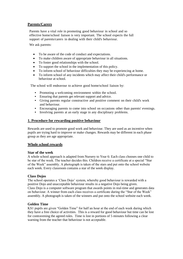#### **Parents/Carers**

Parents have a vital role in promoting good behaviour in school and so effective home/school liaison is very important. The school expects the full support of parents/carers in dealing with their child's behaviour.

We ask parents:

- To be aware of the code of conduct and expectations.
- To make children aware of appropriate behaviour in all situations.
- To foster good relationships with the school.
- To support the school in the implementation of this policy.
- To inform school of behaviour difficulties they may be experiencing at home.
- To inform school of any incidents which may affect their child's performance or behaviour at school.

The school will endeavour to achieve good home/school liaison by:

- Promoting a welcoming environment within the school.
- Ensuring that parents get relevant support and advice.
- Giving parents regular constructive and positive comment on their child's work and behaviour.
- Encouraging parents to come into school on occasions other than parents' evenings.
- Involving parents at an early stage in any disciplinary problems.

#### **1. Procedure for rewarding positive behaviour**

Rewards are used to promote good work and behaviour. They are used as an incentive when pupils are trying hard to improve or make changes. Rewards may be different in each phase group as they are age appropriate.

#### **Whole school rewards**

#### **Star of the week**

A whole school approach is adapted from Nursery to Year 6: Each class chooses one child to be star of the week. The teacher decides this. Children receive a certificate at a special "Star of the Week" assembly. A photograph is taken of the stars and put onto the school website each week. Every classroom contains a star of the week display.

#### **Class Dojos**

The school operates a 'Class Dojo' system, whereby good behaviour is rewarded with a positive Dojo and unacceptable behaviour results in a negative Dojo being given. Class Dojo is a computer software program that awards points in real-time and generates data on behaviour. A winner from each class receives a certificate during the "Star of the Week" assembly. A photograph is taken of the winners and put onto the school website each week.

#### **Golden Time**

KS1 pupils are given "Golden Time" for half an hour at the end of each week during which they have a free choice of activities. This is a reward for good behaviour but time can be lost for contravening the agreed rules. Time is lost in portions of 5 minutes following a clear warning from the teacher that behaviour is not acceptable.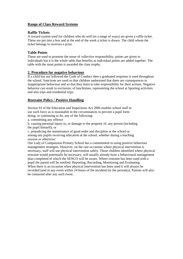#### **Range of Class Reward Systems**

#### **Raffle Tickets**

A reward system used for children who do well (in a range of ways) are given a raffle ticket. These are put into a box and at the end of the week a ticket is drawn. The child whom the ticket belongs to receives a prize.

#### **Table Points**

These are used to promote the sense of collective responsibility; points are given to individuals but it is the whole table that benefits as individual points are added together. The table with the most points is awarded the class trophy.

#### **2. Procedure for negative behaviour**

If a child has not followed the Code of Conduct then a graduated response is used throughout the school. Sanctions are used so that children understand that there are consequences to inappropriate behaviour and so that they learn to take responsibility for their actions. Negative behavior can result in exclusion; of lunchtimes, representing the school at Sporting activities and also trips and residential trips.

#### **Restraint Policy / Positive Handling**

Section 93 of the Education and Inspections Act 2006 enables school staff to use such force as is reasonable in the circumstances to prevent a pupil form doing, or continuing to do, any of the following:

a. committing any offence

b. causing personal injury to, or damage to the property of, any person (including the pupil himself); or

c. prejudicing the maintenance of good order and discipline at the school or among any pupils receiving education at the school, whether during a teaching session or otherwise'

Our Lady of Compassion Primary School has a commitment to using positive behaviour management strategies. However, on the rare occasions where physical intervention is necessary, staff will use physical intervention safely. Those children identified where physical restraint would potentially be necessary, will usually already have a behavioural management plan completed of which the SENCO will be aware. Where restraint has been used with a pupil the parent will be notified. Reporting, Recording, Monitoring and Evaluating When there is an occasion when physical intervention has been used it will always be recorded (and in any event within 24 hours of the incident) by the person(s). Parents will also be contacted after any such event.